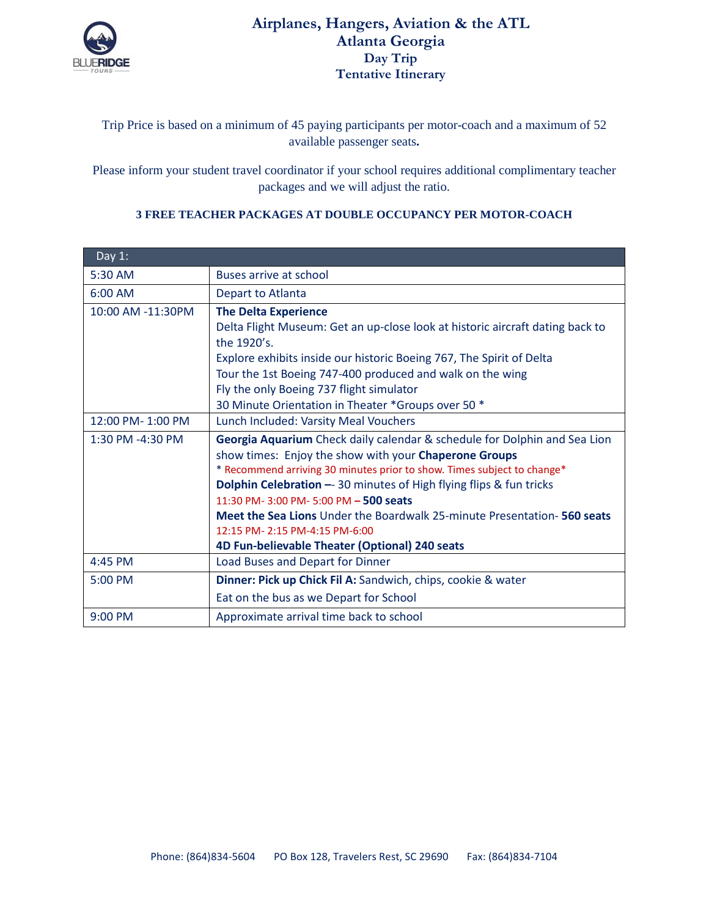

## **Airplanes, Hangers, Aviation & the ATL Atlanta Georgia Day Trip Tentative Itinerary**

## Trip Price is based on a minimum of 45 paying participants per motor-coach and a maximum of 52 available passenger seats**.**

Please inform your student travel coordinator if your school requires additional complimentary teacher packages and we will adjust the ratio.

| Day $1$ :         |                                                                                |  |
|-------------------|--------------------------------------------------------------------------------|--|
| 5:30 AM           | Buses arrive at school                                                         |  |
| 6:00 AM           | Depart to Atlanta                                                              |  |
| 10:00 AM -11:30PM | <b>The Delta Experience</b>                                                    |  |
|                   | Delta Flight Museum: Get an up-close look at historic aircraft dating back to  |  |
|                   | the 1920's.                                                                    |  |
|                   | Explore exhibits inside our historic Boeing 767, The Spirit of Delta           |  |
|                   | Tour the 1st Boeing 747-400 produced and walk on the wing                      |  |
|                   | Fly the only Boeing 737 flight simulator                                       |  |
|                   | 30 Minute Orientation in Theater *Groups over 50 *                             |  |
| 12:00 PM-1:00 PM  | Lunch Included: Varsity Meal Vouchers                                          |  |
| 1:30 PM -4:30 PM  | Georgia Aquarium Check daily calendar & schedule for Dolphin and Sea Lion      |  |
|                   | show times: Enjoy the show with your Chaperone Groups                          |  |
|                   | * Recommend arriving 30 minutes prior to show. Times subject to change*        |  |
|                   | <b>Dolphin Celebration -- 30 minutes of High flying flips &amp; fun tricks</b> |  |
|                   | 11:30 PM-3:00 PM-5:00 PM - 500 seats                                           |  |
|                   | <b>Meet the Sea Lions</b> Under the Boardwalk 25-minute Presentation-560 seats |  |
|                   | 12:15 PM-2:15 PM-4:15 PM-6:00                                                  |  |
|                   | 4D Fun-believable Theater (Optional) 240 seats                                 |  |
| 4:45 PM           | Load Buses and Depart for Dinner                                               |  |
| 5:00 PM           | Dinner: Pick up Chick Fil A: Sandwich, chips, cookie & water                   |  |
|                   | Eat on the bus as we Depart for School                                         |  |
| 9:00 PM           | Approximate arrival time back to school                                        |  |

## **3 FREE TEACHER PACKAGES AT DOUBLE OCCUPANCY PER MOTOR-COACH**